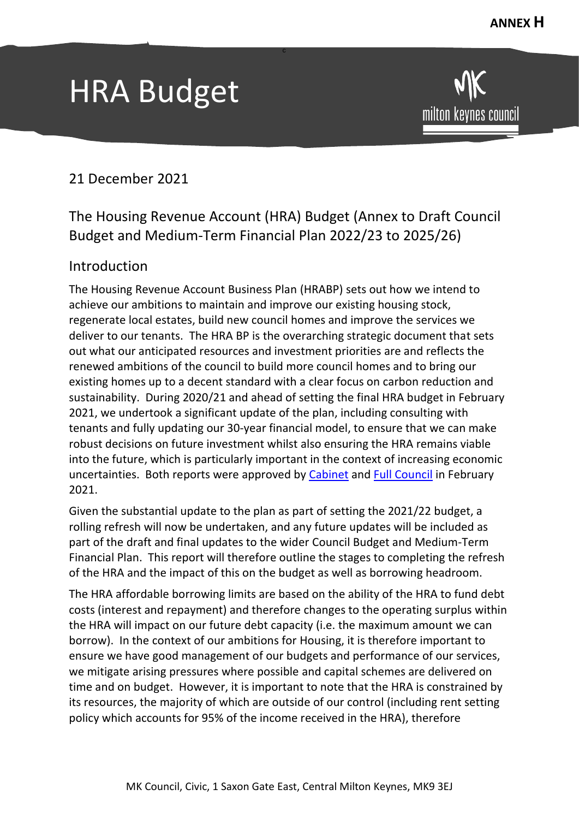# HRA Budget

milton keynes council

# 21 December 2021

# The Housing Revenue Account (HRA) Budget (Annex to Draft Council Budget and Medium-Term Financial Plan 2022/23 to 2025/26)

c

## Introduction

The Housing Revenue Account Business Plan (HRABP) sets out how we intend to achieve our ambitions to maintain and improve our existing housing stock, regenerate local estates, build new council homes and improve the services we deliver to our tenants. The HRA BP is the overarching strategic document that sets out what our anticipated resources and investment priorities are and reflects the renewed ambitions of the council to build more council homes and to bring our existing homes up to a decent standard with a clear focus on carbon reduction and sustainability. During 2020/21 and ahead of setting the final HRA budget in February 2021, we undertook a significant update of the plan, including consulting with tenants and fully updating our 30-year financial model, to ensure that we can make robust decisions on future investment whilst also ensuring the HRA remains viable into the future, which is particularly important in the context of increasing economic uncertainties. Both reports were approved by [Cabinet](https://milton-keynes.cmis.uk.com/milton-keynes/Document.ashx?czJKcaeAi5tUFL1DTL2UE4zNRBcoShgo=bPvFYAZDT4WQWAaZLfTp1jfrH9aldqNxQdx%2fHFJWuN2lZqPEqGFXgg%3d%3d&rUzwRPf%2bZ3zd4E7Ikn8Lyw%3d%3d=pwRE6AGJFLDNlh225F5QMaQWCtPHwdhUfCZ%2fLUQzgA2uL5jNRG4jdQ%3d%3d&mCTIbCubSFfXsDGW9IXnlg%3d%3d=hFflUdN3100%3d&kCx1AnS9%2fpWZQ40DXFvdEw%3d%3d=hFflUdN3100%3d&uJovDxwdjMPoYv%2bAJvYtyA%3d%3d=ctNJFf55vVA%3d&FgPlIEJYlotS%2bYGoBi5olA%3d%3d=NHdURQburHA%3d&d9Qjj0ag1Pd993jsyOJqFvmyB7X0CSQK=ctNJFf55vVA%3d&WGewmoAfeNR9xqBux0r1Q8Za60lavYmz=ctNJFf55vVA%3d&WGewmoAfeNQ16B2MHuCpMRKZMwaG1PaO=ctNJFf55vVA%3d) and [Full Council](https://milton-keynes.cmis.uk.com/milton-keynes/Document.ashx?czJKcaeAi5tUFL1DTL2UE4zNRBcoShgo=4dA4LRUpcDTV5afvP5FrlNNDcueMFUhYhBfmpHelZCpTrCZ0U7b6LQ%3d%3d&rUzwRPf%2bZ3zd4E7Ikn8Lyw%3d%3d=pwRE6AGJFLDNlh225F5QMaQWCtPHwdhUfCZ%2fLUQzgA2uL5jNRG4jdQ%3d%3d&mCTIbCubSFfXsDGW9IXnlg%3d%3d=hFflUdN3100%3d&kCx1AnS9%2fpWZQ40DXFvdEw%3d%3d=hFflUdN3100%3d&uJovDxwdjMPoYv%2bAJvYtyA%3d%3d=ctNJFf55vVA%3d&FgPlIEJYlotS%2bYGoBi5olA%3d%3d=NHdURQburHA%3d&d9Qjj0ag1Pd993jsyOJqFvmyB7X0CSQK=ctNJFf55vVA%3d&WGewmoAfeNR9xqBux0r1Q8Za60lavYmz=ctNJFf55vVA%3d&WGewmoAfeNQ16B2MHuCpMRKZMwaG1PaO=ctNJFf55vVA%3d) in February 2021.

Given the substantial update to the plan as part of setting the 2021/22 budget, a rolling refresh will now be undertaken, and any future updates will be included as part of the draft and final updates to the wider Council Budget and Medium-Term Financial Plan. This report will therefore outline the stages to completing the refresh of the HRA and the impact of this on the budget as well as borrowing headroom.

The HRA affordable borrowing limits are based on the ability of the HRA to fund debt costs (interest and repayment) and therefore changes to the operating surplus within the HRA will impact on our future debt capacity (i.e. the maximum amount we can borrow). In the context of our ambitions for Housing, it is therefore important to ensure we have good management of our budgets and performance of our services, we mitigate arising pressures where possible and capital schemes are delivered on time and on budget. However, it is important to note that the HRA is constrained by its resources, the majority of which are outside of our control (including rent setting policy which accounts for 95% of the income received in the HRA), therefore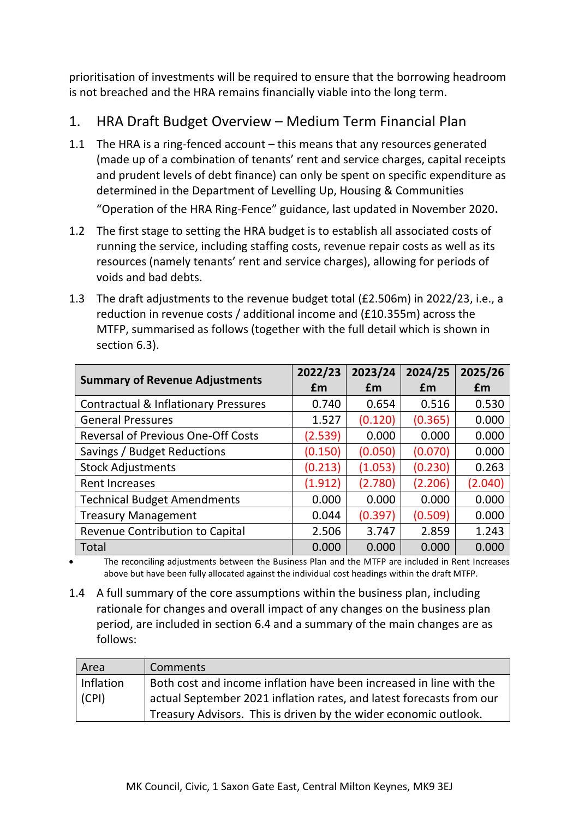prioritisation of investments will be required to ensure that the borrowing headroom is not breached and the HRA remains financially viable into the long term.

# 1. HRA Draft Budget Overview – Medium Term Financial Plan

- 1.1 The HRA is a ring-fenced account this means that any resources generated (made up of a combination of tenants' rent and service charges, capital receipts and prudent levels of debt finance) can only be spent on specific expenditure as determined in the Department of Levelling Up, Housing & Communities "Operation of the HRA Ring-Fence" guidance, last updated in November 2020.
- 1.2 The first stage to setting the HRA budget is to establish all associated costs of running the service, including staffing costs, revenue repair costs as well as its resources (namely tenants' rent and service charges), allowing for periods of voids and bad debts.
- 1.3 The draft adjustments to the revenue budget total (£2.506m) in 2022/23, i.e., a reduction in revenue costs / additional income and (£10.355m) across the MTFP, summarised as follows (together with the full detail which is shown in section 6.3).

|                                                 | 2022/23 | 2023/24 | 2024/25 | 2025/26 |
|-------------------------------------------------|---------|---------|---------|---------|
| <b>Summary of Revenue Adjustments</b>           | £m      | £m      | £m      | £m      |
| <b>Contractual &amp; Inflationary Pressures</b> | 0.740   | 0.654   | 0.516   | 0.530   |
| <b>General Pressures</b>                        | 1.527   | (0.120) | (0.365) | 0.000   |
| <b>Reversal of Previous One-Off Costs</b>       | (2.539) | 0.000   | 0.000   | 0.000   |
| Savings / Budget Reductions                     | (0.150) | (0.050) | (0.070) | 0.000   |
| <b>Stock Adjustments</b>                        | (0.213) | (1.053) | (0.230) | 0.263   |
| <b>Rent Increases</b>                           | (1.912) | (2.780) | (2.206) | (2.040) |
| <b>Technical Budget Amendments</b>              | 0.000   | 0.000   | 0.000   | 0.000   |
| <b>Treasury Management</b>                      | 0.044   | (0.397) | (0.509) | 0.000   |
| Revenue Contribution to Capital                 | 2.506   | 3.747   | 2.859   | 1.243   |
| <b>Total</b>                                    | 0.000   | 0.000   | 0.000   | 0.000   |

• The reconciling adjustments between the Business Plan and the MTFP are included in Rent Increases above but have been fully allocated against the individual cost headings within the draft MTFP.

1.4 A full summary of the core assumptions within the business plan, including rationale for changes and overall impact of any changes on the business plan period, are included in section 6.4 and a summary of the main changes are as follows:

| Area      | Comments                                                             |
|-----------|----------------------------------------------------------------------|
| Inflation | Both cost and income inflation have been increased in line with the  |
| (CPI)     | actual September 2021 inflation rates, and latest forecasts from our |
|           | Treasury Advisors. This is driven by the wider economic outlook.     |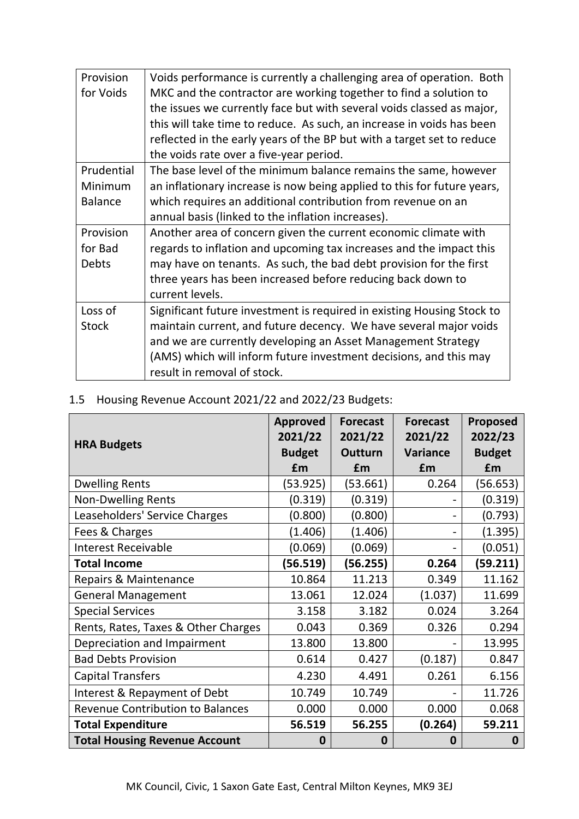| Provision      | Voids performance is currently a challenging area of operation. Both    |
|----------------|-------------------------------------------------------------------------|
| for Voids      | MKC and the contractor are working together to find a solution to       |
|                | the issues we currently face but with several voids classed as major,   |
|                | this will take time to reduce. As such, an increase in voids has been   |
|                | reflected in the early years of the BP but with a target set to reduce  |
|                | the voids rate over a five-year period.                                 |
| Prudential     | The base level of the minimum balance remains the same, however         |
| Minimum        | an inflationary increase is now being applied to this for future years, |
| <b>Balance</b> | which requires an additional contribution from revenue on an            |
|                | annual basis (linked to the inflation increases).                       |
| Provision      | Another area of concern given the current economic climate with         |
| for Bad        | regards to inflation and upcoming tax increases and the impact this     |
| Debts          | may have on tenants. As such, the bad debt provision for the first      |
|                | three years has been increased before reducing back down to             |
|                | current levels.                                                         |
| Loss of        | Significant future investment is required in existing Housing Stock to  |
| <b>Stock</b>   | maintain current, and future decency. We have several major voids       |
|                | and we are currently developing an Asset Management Strategy            |
|                | (AMS) which will inform future investment decisions, and this may       |
|                | result in removal of stock.                                             |

### 1.5 Housing Revenue Account 2021/22 and 2022/23 Budgets:

|                                         | <b>Approved</b><br>2021/22 | <b>Forecast</b><br>2021/22 | <b>Forecast</b><br>2021/22 | Proposed<br>2022/23 |
|-----------------------------------------|----------------------------|----------------------------|----------------------------|---------------------|
| <b>HRA Budgets</b>                      | <b>Budget</b>              | <b>Outturn</b>             | <b>Variance</b>            | <b>Budget</b>       |
|                                         | £m                         | £m                         | £m                         | £m                  |
| <b>Dwelling Rents</b>                   | (53.925)                   | (53.661)                   | 0.264                      | (56.653)            |
| <b>Non-Dwelling Rents</b>               | (0.319)                    | (0.319)                    |                            | (0.319)             |
| Leaseholders' Service Charges           | (0.800)                    | (0.800)                    |                            | (0.793)             |
| Fees & Charges                          | (1.406)                    | (1.406)                    |                            | (1.395)             |
| <b>Interest Receivable</b>              | (0.069)                    | (0.069)                    |                            | (0.051)             |
| <b>Total Income</b>                     | (56.519)                   | (56.255)                   | 0.264                      | (59.211)            |
| Repairs & Maintenance                   | 10.864                     | 11.213                     | 0.349                      | 11.162              |
| <b>General Management</b>               | 13.061                     | 12.024                     | (1.037)                    | 11.699              |
| <b>Special Services</b>                 | 3.158                      | 3.182                      | 0.024                      | 3.264               |
| Rents, Rates, Taxes & Other Charges     | 0.043                      | 0.369                      | 0.326                      | 0.294               |
| Depreciation and Impairment             | 13.800                     | 13.800                     |                            | 13.995              |
| <b>Bad Debts Provision</b>              | 0.614                      | 0.427                      | (0.187)                    | 0.847               |
| <b>Capital Transfers</b>                | 4.230                      | 4.491                      | 0.261                      | 6.156               |
| Interest & Repayment of Debt            | 10.749                     | 10.749                     |                            | 11.726              |
| <b>Revenue Contribution to Balances</b> | 0.000                      | 0.000                      | 0.000                      | 0.068               |
| <b>Total Expenditure</b>                | 56.519                     | 56.255                     | (0.264)                    | 59.211              |
| <b>Total Housing Revenue Account</b>    | 0                          | 0                          | 0                          | 0                   |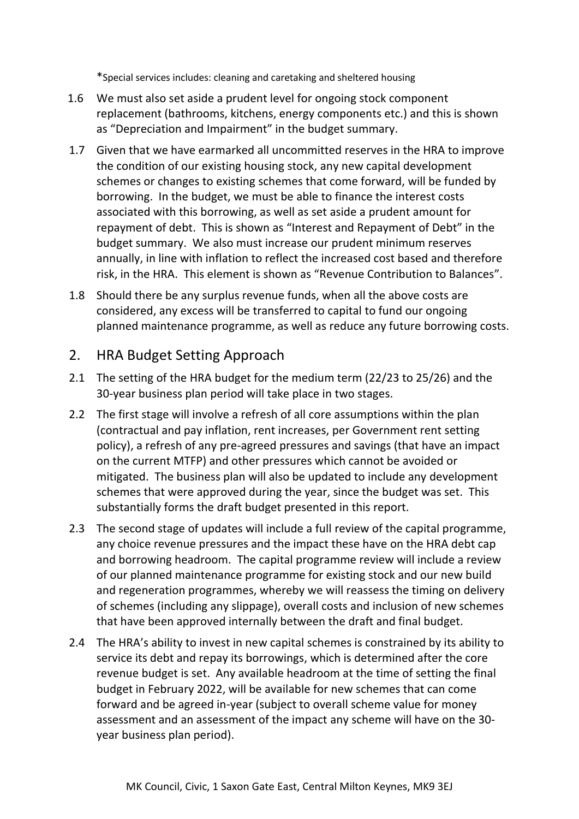\*Special services includes: cleaning and caretaking and sheltered housing

- 1.6 We must also set aside a prudent level for ongoing stock component replacement (bathrooms, kitchens, energy components etc.) and this is shown as "Depreciation and Impairment" in the budget summary.
- 1.7 Given that we have earmarked all uncommitted reserves in the HRA to improve the condition of our existing housing stock, any new capital development schemes or changes to existing schemes that come forward, will be funded by borrowing. In the budget, we must be able to finance the interest costs associated with this borrowing, as well as set aside a prudent amount for repayment of debt. This is shown as "Interest and Repayment of Debt" in the budget summary. We also must increase our prudent minimum reserves annually, in line with inflation to reflect the increased cost based and therefore risk, in the HRA. This element is shown as "Revenue Contribution to Balances".
- 1.8 Should there be any surplus revenue funds, when all the above costs are considered, any excess will be transferred to capital to fund our ongoing planned maintenance programme, as well as reduce any future borrowing costs.

#### 2. HRA Budget Setting Approach

- 2.1 The setting of the HRA budget for the medium term (22/23 to 25/26) and the 30-year business plan period will take place in two stages.
- 2.2 The first stage will involve a refresh of all core assumptions within the plan (contractual and pay inflation, rent increases, per Government rent setting policy), a refresh of any pre-agreed pressures and savings (that have an impact on the current MTFP) and other pressures which cannot be avoided or mitigated. The business plan will also be updated to include any development schemes that were approved during the year, since the budget was set. This substantially forms the draft budget presented in this report.
- 2.3 The second stage of updates will include a full review of the capital programme, any choice revenue pressures and the impact these have on the HRA debt cap and borrowing headroom. The capital programme review will include a review of our planned maintenance programme for existing stock and our new build and regeneration programmes, whereby we will reassess the timing on delivery of schemes (including any slippage), overall costs and inclusion of new schemes that have been approved internally between the draft and final budget.
- 2.4 The HRA's ability to invest in new capital schemes is constrained by its ability to service its debt and repay its borrowings, which is determined after the core revenue budget is set. Any available headroom at the time of setting the final budget in February 2022, will be available for new schemes that can come forward and be agreed in-year (subject to overall scheme value for money assessment and an assessment of the impact any scheme will have on the 30 year business plan period).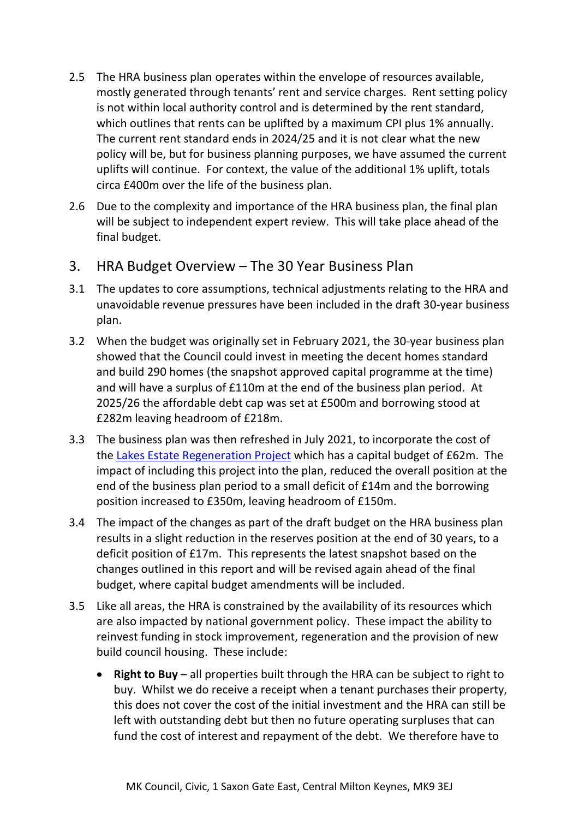- 2.5 The HRA business plan operates within the envelope of resources available, mostly generated through tenants' rent and service charges. Rent setting policy is not within local authority control and is determined by the rent standard, which outlines that rents can be uplifted by a maximum CPI plus 1% annually. The current rent standard ends in 2024/25 and it is not clear what the new policy will be, but for business planning purposes, we have assumed the current uplifts will continue. For context, the value of the additional 1% uplift, totals circa £400m over the life of the business plan.
- 2.6 Due to the complexity and importance of the HRA business plan, the final plan will be subject to independent expert review. This will take place ahead of the final budget.

### 3. HRA Budget Overview – The 30 Year Business Plan

- 3.1 The updates to core assumptions, technical adjustments relating to the HRA and unavoidable revenue pressures have been included in the draft 30-year business plan.
- 3.2 When the budget was originally set in February 2021, the 30-year business plan showed that the Council could invest in meeting the decent homes standard and build 290 homes (the snapshot approved capital programme at the time) and will have a surplus of £110m at the end of the business plan period. At 2025/26 the affordable debt cap was set at £500m and borrowing stood at £282m leaving headroom of £218m.
- 3.3 The business plan was then refreshed in July 2021, to incorporate the cost of the [Lakes Estate Regeneration Project](https://milton-keynes.cmis.uk.com/milton-keynes/Document.ashx?czJKcaeAi5tUFL1DTL2UE4zNRBcoShgo=qAh0zN5rB0d%2bGPBQ58xxJ9NwyiQAPBOZG9Mmv0lIL%2bnzXzS1vxk%2fiw%3d%3d&rUzwRPf%2bZ3zd4E7Ikn8Lyw%3d%3d=pwRE6AGJFLDNlh225F5QMaQWCtPHwdhUfCZ%2fLUQzgA2uL5jNRG4jdQ%3d%3d&mCTIbCubSFfXsDGW9IXnlg%3d%3d=hFflUdN3100%3d&kCx1AnS9%2fpWZQ40DXFvdEw%3d%3d=hFflUdN3100%3d&uJovDxwdjMPoYv%2bAJvYtyA%3d%3d=ctNJFf55vVA%3d&FgPlIEJYlotS%2bYGoBi5olA%3d%3d=NHdURQburHA%3d&d9Qjj0ag1Pd993jsyOJqFvmyB7X0CSQK=ctNJFf55vVA%3d&WGewmoAfeNR9xqBux0r1Q8Za60lavYmz=ctNJFf55vVA%3d&WGewmoAfeNQ16B2MHuCpMRKZMwaG1PaO=ctNJFf55vVA%3d) which has a capital budget of £62m. The impact of including this project into the plan, reduced the overall position at the end of the business plan period to a small deficit of £14m and the borrowing position increased to £350m, leaving headroom of £150m.
- 3.4 The impact of the changes as part of the draft budget on the HRA business plan results in a slight reduction in the reserves position at the end of 30 years, to a deficit position of £17m. This represents the latest snapshot based on the changes outlined in this report and will be revised again ahead of the final budget, where capital budget amendments will be included.
- 3.5 Like all areas, the HRA is constrained by the availability of its resources which are also impacted by national government policy. These impact the ability to reinvest funding in stock improvement, regeneration and the provision of new build council housing. These include:
	- **Right to Buy** all properties built through the HRA can be subject to right to buy. Whilst we do receive a receipt when a tenant purchases their property, this does not cover the cost of the initial investment and the HRA can still be left with outstanding debt but then no future operating surpluses that can fund the cost of interest and repayment of the debt. We therefore have to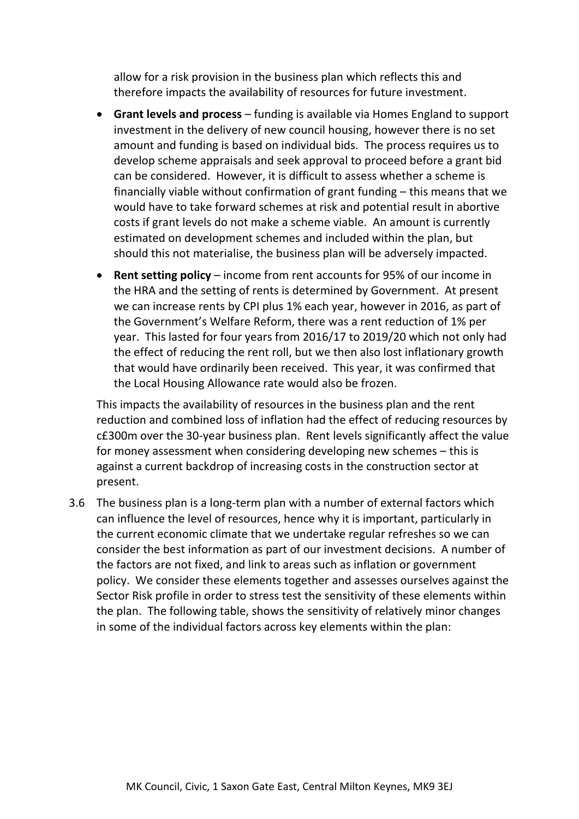allow for a risk provision in the business plan which reflects this and therefore impacts the availability of resources for future investment.

- **Grant levels and process** funding is available via Homes England to support investment in the delivery of new council housing, however there is no set amount and funding is based on individual bids. The process requires us to develop scheme appraisals and seek approval to proceed before a grant bid can be considered. However, it is difficult to assess whether a scheme is financially viable without confirmation of grant funding – this means that we would have to take forward schemes at risk and potential result in abortive costs if grant levels do not make a scheme viable. An amount is currently estimated on development schemes and included within the plan, but should this not materialise, the business plan will be adversely impacted.
- **Rent setting policy** income from rent accounts for 95% of our income in the HRA and the setting of rents is determined by Government. At present we can increase rents by CPI plus 1% each year, however in 2016, as part of the Government's Welfare Reform, there was a rent reduction of 1% per year. This lasted for four years from 2016/17 to 2019/20 which not only had the effect of reducing the rent roll, but we then also lost inflationary growth that would have ordinarily been received. This year, it was confirmed that the Local Housing Allowance rate would also be frozen.

This impacts the availability of resources in the business plan and the rent reduction and combined loss of inflation had the effect of reducing resources by c£300m over the 30-year business plan. Rent levels significantly affect the value for money assessment when considering developing new schemes – this is against a current backdrop of increasing costs in the construction sector at present.

3.6 The business plan is a long-term plan with a number of external factors which can influence the level of resources, hence why it is important, particularly in the current economic climate that we undertake regular refreshes so we can consider the best information as part of our investment decisions. A number of the factors are not fixed, and link to areas such as inflation or government policy. We consider these elements together and assesses ourselves against the Sector Risk profile in order to stress test the sensitivity of these elements within the plan. The following table, shows the sensitivity of relatively minor changes in some of the individual factors across key elements within the plan: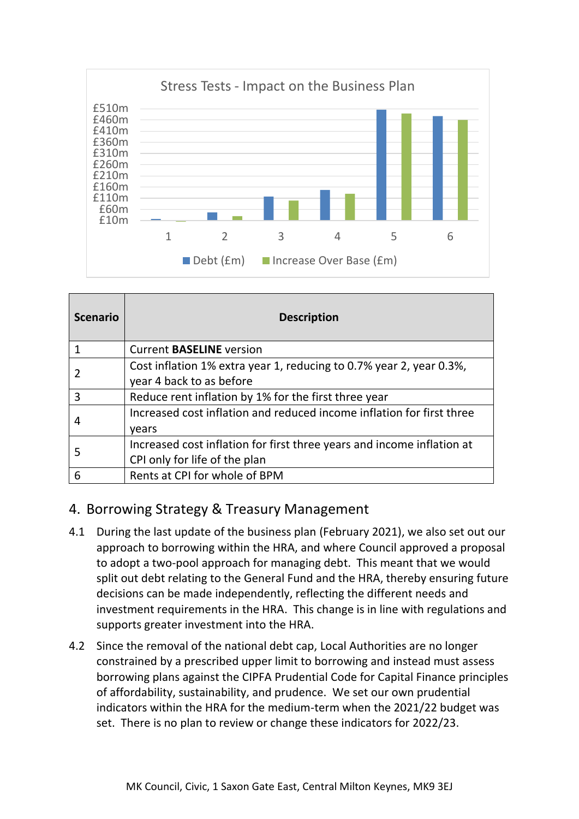

| <b>Scenario</b> | <b>Description</b>                                                                                      |
|-----------------|---------------------------------------------------------------------------------------------------------|
|                 | <b>Current BASELINE version</b>                                                                         |
|                 | Cost inflation 1% extra year 1, reducing to 0.7% year 2, year 0.3%,<br>year 4 back to as before         |
| 3               | Reduce rent inflation by 1% for the first three year                                                    |
|                 | Increased cost inflation and reduced income inflation for first three<br>vears                          |
| 5               | Increased cost inflation for first three years and income inflation at<br>CPI only for life of the plan |
|                 | Rents at CPI for whole of BPM                                                                           |

## 4. Borrowing Strategy & Treasury Management

- 4.1 During the last update of the business plan (February 2021), we also set out our approach to borrowing within the HRA, and where Council approved a proposal to adopt a two-pool approach for managing debt. This meant that we would split out debt relating to the General Fund and the HRA, thereby ensuring future decisions can be made independently, reflecting the different needs and investment requirements in the HRA. This change is in line with regulations and supports greater investment into the HRA.
- 4.2 Since the removal of the national debt cap, Local Authorities are no longer constrained by a prescribed upper limit to borrowing and instead must assess borrowing plans against the CIPFA Prudential Code for Capital Finance principles of affordability, sustainability, and prudence. We set our own prudential indicators within the HRA for the medium-term when the 2021/22 budget was set. There is no plan to review or change these indicators for 2022/23.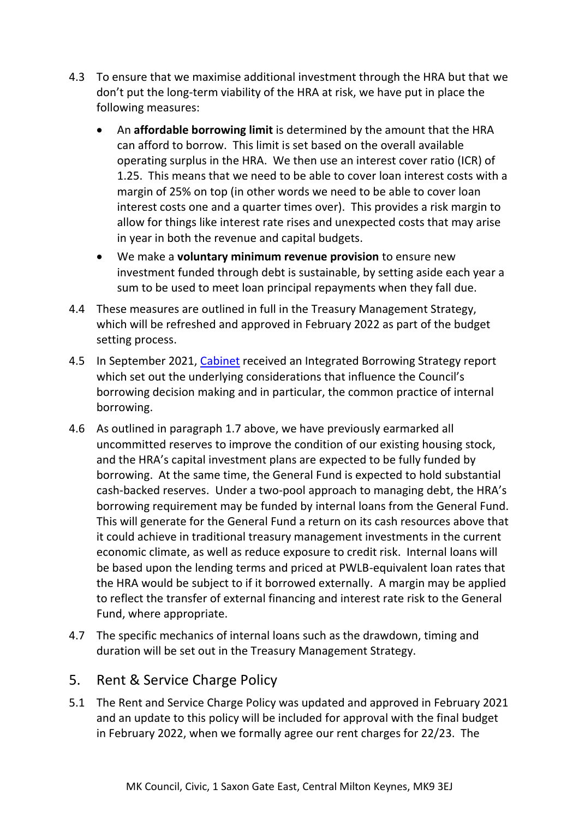- 4.3 To ensure that we maximise additional investment through the HRA but that we don't put the long-term viability of the HRA at risk, we have put in place the following measures:
	- An **affordable borrowing limit** is determined by the amount that the HRA can afford to borrow. This limit is set based on the overall available operating surplus in the HRA. We then use an interest cover ratio (ICR) of 1.25. This means that we need to be able to cover loan interest costs with a margin of 25% on top (in other words we need to be able to cover loan interest costs one and a quarter times over). This provides a risk margin to allow for things like interest rate rises and unexpected costs that may arise in year in both the revenue and capital budgets.
	- We make a **voluntary minimum revenue provision** to ensure new investment funded through debt is sustainable, by setting aside each year a sum to be used to meet loan principal repayments when they fall due.
- 4.4 These measures are outlined in full in the Treasury Management Strategy, which will be refreshed and approved in February 2022 as part of the budget setting process.
- 4.5 In September 2021, [Cabinet](https://milton-keynes.cmis.uk.com/milton-keynes/Calendar/tabid/70/ctl/ViewMeetingPublic/mid/397/Meeting/6832/Committee/1399/Default.aspx) received an Integrated Borrowing Strategy report which set out the underlying considerations that influence the Council's borrowing decision making and in particular, the common practice of internal borrowing.
- 4.6 As outlined in paragraph 1.7 above, we have previously earmarked all uncommitted reserves to improve the condition of our existing housing stock, and the HRA's capital investment plans are expected to be fully funded by borrowing. At the same time, the General Fund is expected to hold substantial cash-backed reserves. Under a two-pool approach to managing debt, the HRA's borrowing requirement may be funded by internal loans from the General Fund. This will generate for the General Fund a return on its cash resources above that it could achieve in traditional treasury management investments in the current economic climate, as well as reduce exposure to credit risk. Internal loans will be based upon the lending terms and priced at PWLB-equivalent loan rates that the HRA would be subject to if it borrowed externally. A margin may be applied to reflect the transfer of external financing and interest rate risk to the General Fund, where appropriate.
- 4.7 The specific mechanics of internal loans such as the drawdown, timing and duration will be set out in the Treasury Management Strategy.

### 5. Rent & Service Charge Policy

5.1 The Rent and Service Charge Policy was updated and approved in February 2021 and an update to this policy will be included for approval with the final budget in February 2022, when we formally agree our rent charges for 22/23. The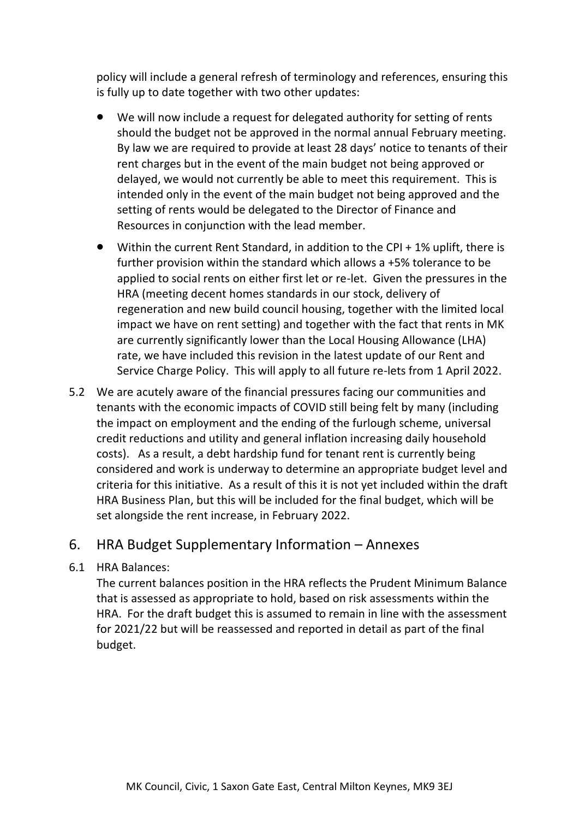policy will include a general refresh of terminology and references, ensuring this is fully up to date together with two other updates:

- We will now include a request for delegated authority for setting of rents should the budget not be approved in the normal annual February meeting. By law we are required to provide at least 28 days' notice to tenants of their rent charges but in the event of the main budget not being approved or delayed, we would not currently be able to meet this requirement. This is intended only in the event of the main budget not being approved and the setting of rents would be delegated to the Director of Finance and Resources in conjunction with the lead member.
- Within the current Rent Standard, in addition to the CPI + 1% uplift, there is further provision within the standard which allows a +5% tolerance to be applied to social rents on either first let or re-let. Given the pressures in the HRA (meeting decent homes standards in our stock, delivery of regeneration and new build council housing, together with the limited local impact we have on rent setting) and together with the fact that rents in MK are currently significantly lower than the Local Housing Allowance (LHA) rate, we have included this revision in the latest update of our Rent and Service Charge Policy. This will apply to all future re-lets from 1 April 2022.
- 5.2 We are acutely aware of the financial pressures facing our communities and tenants with the economic impacts of COVID still being felt by many (including the impact on employment and the ending of the furlough scheme, universal credit reductions and utility and general inflation increasing daily household costs). As a result, a debt hardship fund for tenant rent is currently being considered and work is underway to determine an appropriate budget level and criteria for this initiative. As a result of this it is not yet included within the draft HRA Business Plan, but this will be included for the final budget, which will be set alongside the rent increase, in February 2022.

### 6. HRA Budget Supplementary Information – Annexes

#### 6.1 HRA Balances:

The current balances position in the HRA reflects the Prudent Minimum Balance that is assessed as appropriate to hold, based on risk assessments within the HRA. For the draft budget this is assumed to remain in line with the assessment for 2021/22 but will be reassessed and reported in detail as part of the final budget.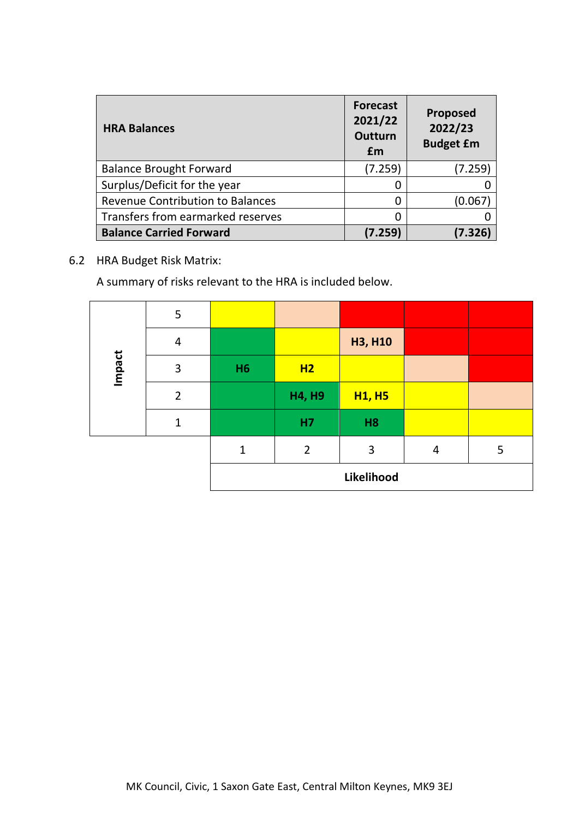| <b>HRA Balances</b>                     | <b>Forecast</b><br>2021/22<br><b>Outturn</b><br>£m | Proposed<br>2022/23<br><b>Budget £m</b> |  |  |
|-----------------------------------------|----------------------------------------------------|-----------------------------------------|--|--|
| <b>Balance Brought Forward</b>          | (7.259)                                            | (7.259)                                 |  |  |
| Surplus/Deficit for the year            | 0                                                  |                                         |  |  |
| <b>Revenue Contribution to Balances</b> | 0                                                  | (0.067)                                 |  |  |
| Transfers from earmarked reserves       |                                                    |                                         |  |  |
| <b>Balance Carried Forward</b>          | (7.259)                                            | (7.326)                                 |  |  |

#### 6.2 HRA Budget Risk Matrix:

A summary of risks relevant to the HRA is included below.

|        | 5              |           |                |                |   |   |
|--------|----------------|-----------|----------------|----------------|---|---|
|        | 4              |           |                | <b>H3, H10</b> |   |   |
| Impact | 3              | <b>H6</b> | H2             |                |   |   |
|        | $\overline{2}$ |           | <b>H4, H9</b>  | <b>H1, H5</b>  |   |   |
|        | $\mathbf{1}$   |           | H7             | H <sub>8</sub> |   |   |
|        |                | 1         | $\overline{2}$ | 3              | 4 | 5 |
|        |                |           |                | Likelihood     |   |   |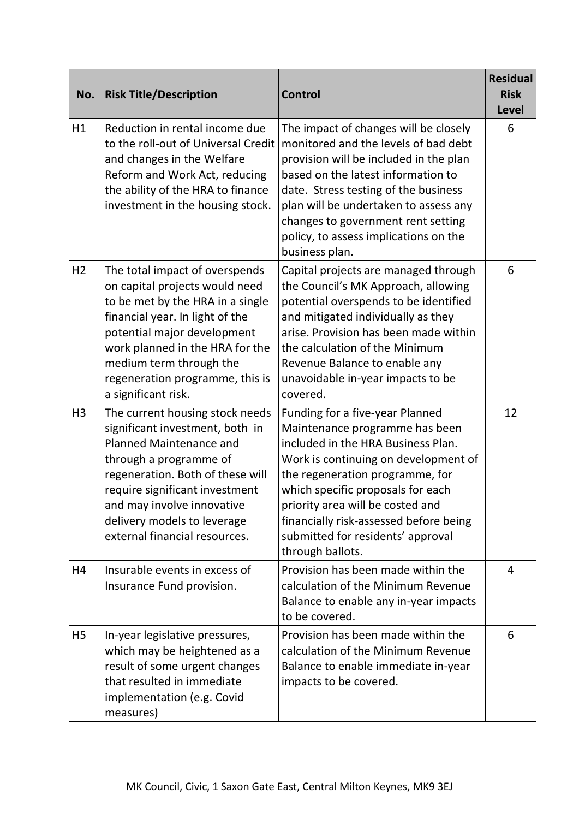| No.            | <b>Risk Title/Description</b>                                                                                                                                                                                                                                                                      | <b>Control</b>                                                                                                                                                                                                                                                                                                                                                 | <b>Residual</b><br><b>Risk</b><br><b>Level</b> |
|----------------|----------------------------------------------------------------------------------------------------------------------------------------------------------------------------------------------------------------------------------------------------------------------------------------------------|----------------------------------------------------------------------------------------------------------------------------------------------------------------------------------------------------------------------------------------------------------------------------------------------------------------------------------------------------------------|------------------------------------------------|
| H1             | Reduction in rental income due<br>to the roll-out of Universal Credit<br>and changes in the Welfare<br>Reform and Work Act, reducing<br>the ability of the HRA to finance<br>investment in the housing stock.                                                                                      | The impact of changes will be closely<br>monitored and the levels of bad debt<br>provision will be included in the plan<br>based on the latest information to<br>date. Stress testing of the business<br>plan will be undertaken to assess any<br>changes to government rent setting<br>policy, to assess implications on the<br>business plan.                | 6                                              |
| H <sub>2</sub> | The total impact of overspends<br>on capital projects would need<br>to be met by the HRA in a single<br>financial year. In light of the<br>potential major development<br>work planned in the HRA for the<br>medium term through the<br>regeneration programme, this is<br>a significant risk.     | Capital projects are managed through<br>the Council's MK Approach, allowing<br>potential overspends to be identified<br>and mitigated individually as they<br>arise. Provision has been made within<br>the calculation of the Minimum<br>Revenue Balance to enable any<br>unavoidable in-year impacts to be<br>covered.                                        | 6                                              |
| H <sub>3</sub> | The current housing stock needs<br>significant investment, both in<br><b>Planned Maintenance and</b><br>through a programme of<br>regeneration. Both of these will<br>require significant investment<br>and may involve innovative<br>delivery models to leverage<br>external financial resources. | Funding for a five-year Planned<br>Maintenance programme has been<br>included in the HRA Business Plan.<br>Work is continuing on development of<br>the regeneration programme, for<br>which specific proposals for each<br>priority area will be costed and<br>financially risk-assessed before being<br>submitted for residents' approval<br>through ballots. | 12                                             |
| H4             | Insurable events in excess of<br>Insurance Fund provision.                                                                                                                                                                                                                                         | Provision has been made within the<br>calculation of the Minimum Revenue<br>Balance to enable any in-year impacts<br>to be covered.                                                                                                                                                                                                                            | $\overline{4}$                                 |
| <b>H5</b>      | In-year legislative pressures,<br>which may be heightened as a<br>result of some urgent changes<br>that resulted in immediate<br>implementation (e.g. Covid<br>measures)                                                                                                                           | Provision has been made within the<br>calculation of the Minimum Revenue<br>Balance to enable immediate in-year<br>impacts to be covered.                                                                                                                                                                                                                      | 6                                              |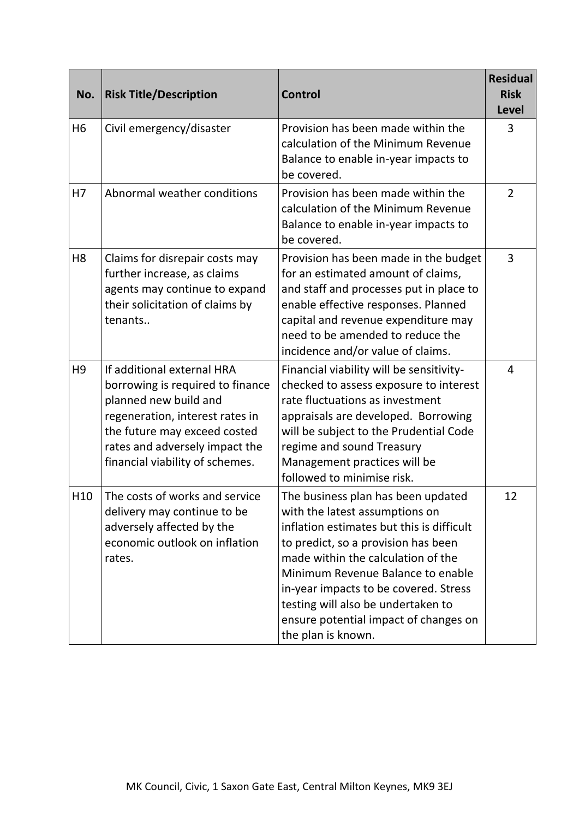| No.             | <b>Risk Title/Description</b>                                                                                                                                                                                                   | Control                                                                                                                                                                                                                                                                                                                                                                           | <b>Residual</b><br><b>Risk</b><br><b>Level</b> |
|-----------------|---------------------------------------------------------------------------------------------------------------------------------------------------------------------------------------------------------------------------------|-----------------------------------------------------------------------------------------------------------------------------------------------------------------------------------------------------------------------------------------------------------------------------------------------------------------------------------------------------------------------------------|------------------------------------------------|
| H <sub>6</sub>  | Civil emergency/disaster                                                                                                                                                                                                        | Provision has been made within the<br>calculation of the Minimum Revenue<br>Balance to enable in-year impacts to<br>be covered.                                                                                                                                                                                                                                                   | 3                                              |
| H7              | Abnormal weather conditions                                                                                                                                                                                                     | Provision has been made within the<br>calculation of the Minimum Revenue<br>Balance to enable in-year impacts to<br>be covered.                                                                                                                                                                                                                                                   | $\overline{2}$                                 |
| H <sub>8</sub>  | Claims for disrepair costs may<br>further increase, as claims<br>agents may continue to expand<br>their solicitation of claims by<br>tenants                                                                                    | Provision has been made in the budget<br>for an estimated amount of claims,<br>and staff and processes put in place to<br>enable effective responses. Planned<br>capital and revenue expenditure may<br>need to be amended to reduce the<br>incidence and/or value of claims.                                                                                                     | 3                                              |
| H <sub>9</sub>  | If additional external HRA<br>borrowing is required to finance<br>planned new build and<br>regeneration, interest rates in<br>the future may exceed costed<br>rates and adversely impact the<br>financial viability of schemes. | Financial viability will be sensitivity-<br>checked to assess exposure to interest<br>rate fluctuations as investment<br>appraisals are developed. Borrowing<br>will be subject to the Prudential Code<br>regime and sound Treasury<br>Management practices will be<br>followed to minimise risk.                                                                                 | $\overline{4}$                                 |
| H <sub>10</sub> | The costs of works and service<br>delivery may continue to be<br>adversely affected by the<br>economic outlook on inflation<br>rates.                                                                                           | The business plan has been updated<br>with the latest assumptions on<br>inflation estimates but this is difficult<br>to predict, so a provision has been<br>made within the calculation of the<br>Minimum Revenue Balance to enable<br>in-year impacts to be covered. Stress<br>testing will also be undertaken to<br>ensure potential impact of changes on<br>the plan is known. | 12                                             |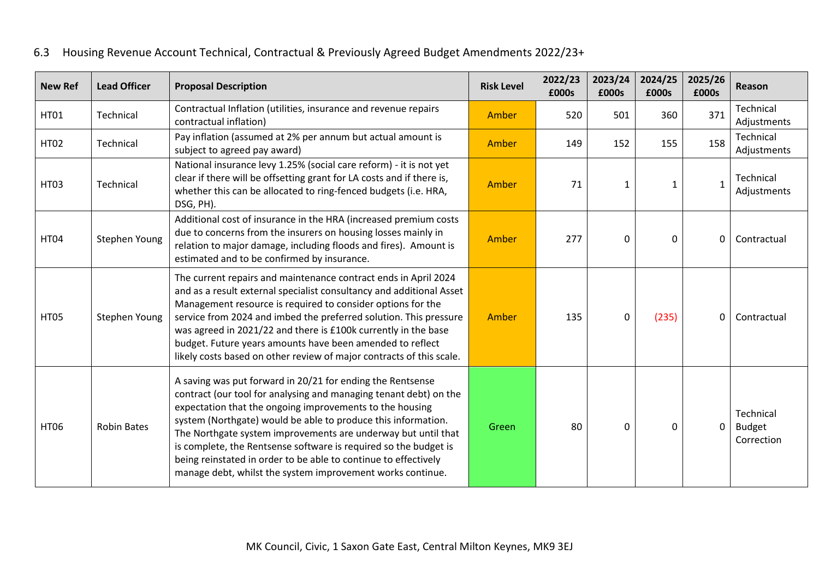| <b>New Ref</b> | <b>Lead Officer</b> | <b>Proposal Description</b>                                                                                                                                                                                                                                                                                                                                                                                                                                                                                                        | <b>Risk Level</b> | 2022/23<br>£000s | 2023/24<br>£000s | 2024/25<br>£000s | 2025/26<br>£000s | Reason                                   |
|----------------|---------------------|------------------------------------------------------------------------------------------------------------------------------------------------------------------------------------------------------------------------------------------------------------------------------------------------------------------------------------------------------------------------------------------------------------------------------------------------------------------------------------------------------------------------------------|-------------------|------------------|------------------|------------------|------------------|------------------------------------------|
| <b>HT01</b>    | Technical           | Contractual Inflation (utilities, insurance and revenue repairs<br>contractual inflation)                                                                                                                                                                                                                                                                                                                                                                                                                                          | Amber             | 520              | 501              | 360              | 371              | Technical<br>Adjustments                 |
| <b>HT02</b>    | Technical           | Pay inflation (assumed at 2% per annum but actual amount is<br>subject to agreed pay award)                                                                                                                                                                                                                                                                                                                                                                                                                                        | Amber             | 149              | 152              | 155              | 158              | Technical<br>Adjustments                 |
| <b>HT03</b>    | Technical           | National insurance levy 1.25% (social care reform) - it is not yet<br>clear if there will be offsetting grant for LA costs and if there is,<br>whether this can be allocated to ring-fenced budgets (i.e. HRA,<br>DSG, PH).                                                                                                                                                                                                                                                                                                        | Amber             | 71               | 1                | 1                | $\mathbf{1}$     | Technical<br>Adjustments                 |
| <b>HT04</b>    | Stephen Young       | Additional cost of insurance in the HRA (increased premium costs<br>due to concerns from the insurers on housing losses mainly in<br>relation to major damage, including floods and fires). Amount is<br>estimated and to be confirmed by insurance.                                                                                                                                                                                                                                                                               | Amber             | 277              | 0                | $\mathbf{0}$     | 0                | Contractual                              |
| <b>HT05</b>    | Stephen Young       | The current repairs and maintenance contract ends in April 2024<br>and as a result external specialist consultancy and additional Asset<br>Management resource is required to consider options for the<br>service from 2024 and imbed the preferred solution. This pressure<br>was agreed in 2021/22 and there is £100k currently in the base<br>budget. Future years amounts have been amended to reflect<br>likely costs based on other review of major contracts of this scale.                                                 | Amber             | 135              | $\Omega$         | (235)            | 0                | Contractual                              |
| <b>HT06</b>    | <b>Robin Bates</b>  | A saving was put forward in 20/21 for ending the Rentsense<br>contract (our tool for analysing and managing tenant debt) on the<br>expectation that the ongoing improvements to the housing<br>system (Northgate) would be able to produce this information.<br>The Northgate system improvements are underway but until that<br>is complete, the Rentsense software is required so the budget is<br>being reinstated in order to be able to continue to effectively<br>manage debt, whilst the system improvement works continue. | Green             | 80               | $\Omega$         | $\mathbf{0}$     | $\mathbf 0$      | Technical<br><b>Budget</b><br>Correction |

# 6.3 Housing Revenue Account Technical, Contractual & Previously Agreed Budget Amendments 2022/23+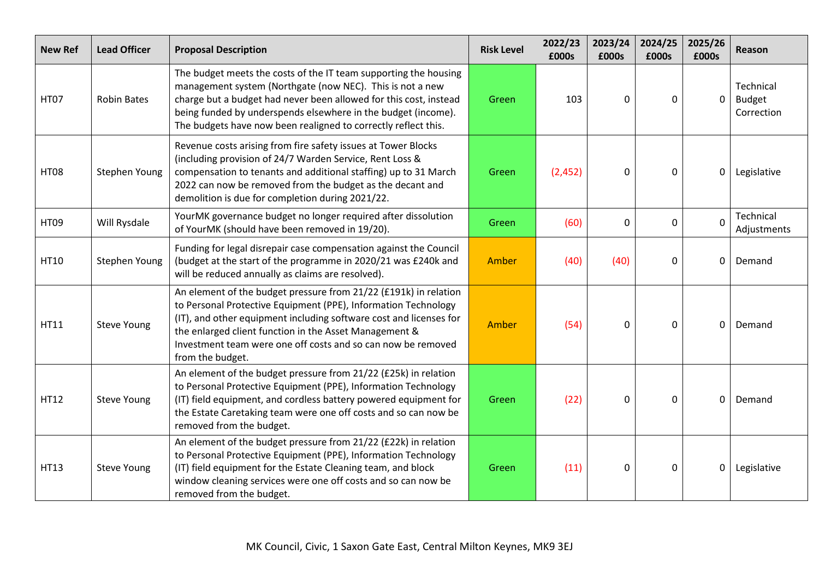| <b>New Ref</b> | <b>Lead Officer</b> | <b>Proposal Description</b>                                                                                                                                                                                                                                                                                                                            | <b>Risk Level</b> | 2022/23<br>£000s | 2023/24<br>£000s | 2024/25<br>£000s | 2025/26<br>£000s | Reason                                   |
|----------------|---------------------|--------------------------------------------------------------------------------------------------------------------------------------------------------------------------------------------------------------------------------------------------------------------------------------------------------------------------------------------------------|-------------------|------------------|------------------|------------------|------------------|------------------------------------------|
| <b>HT07</b>    | <b>Robin Bates</b>  | The budget meets the costs of the IT team supporting the housing<br>management system (Northgate (now NEC). This is not a new<br>charge but a budget had never been allowed for this cost, instead<br>being funded by underspends elsewhere in the budget (income).<br>The budgets have now been realigned to correctly reflect this.                  | Green             | 103              | 0                | $\Omega$         | $\mathbf 0$      | Technical<br><b>Budget</b><br>Correction |
| <b>HT08</b>    | Stephen Young       | Revenue costs arising from fire safety issues at Tower Blocks<br>(including provision of 24/7 Warden Service, Rent Loss &<br>compensation to tenants and additional staffing) up to 31 March<br>2022 can now be removed from the budget as the decant and<br>demolition is due for completion during 2021/22.                                          | Green             | (2,452)          | 0                | 0                | 0                | Legislative                              |
| <b>HT09</b>    | Will Rysdale        | YourMK governance budget no longer required after dissolution<br>of YourMK (should have been removed in 19/20).                                                                                                                                                                                                                                        | Green             | (60)             | 0                | $\mathbf 0$      | $\Omega$         | Technical<br>Adjustments                 |
| HT10           | Stephen Young       | Funding for legal disrepair case compensation against the Council<br>(budget at the start of the programme in 2020/21 was £240k and<br>will be reduced annually as claims are resolved).                                                                                                                                                               | Amber             | (40)             | (40)             | $\mathbf 0$      | 0                | Demand                                   |
| HT11           | Steve Young         | An element of the budget pressure from 21/22 (£191k) in relation<br>to Personal Protective Equipment (PPE), Information Technology<br>(IT), and other equipment including software cost and licenses for<br>the enlarged client function in the Asset Management &<br>Investment team were one off costs and so can now be removed<br>from the budget. | Amber             | (54)             | 0                | $\mathbf{0}$     | 0                | Demand                                   |
| HT12           | Steve Young         | An element of the budget pressure from 21/22 (£25k) in relation<br>to Personal Protective Equipment (PPE), Information Technology<br>(IT) field equipment, and cordless battery powered equipment for<br>the Estate Caretaking team were one off costs and so can now be<br>removed from the budget.                                                   | Green             | (22)             | 0                | $\mathbf{0}$     | 0                | Demand                                   |
| <b>HT13</b>    | <b>Steve Young</b>  | An element of the budget pressure from 21/22 (£22k) in relation<br>to Personal Protective Equipment (PPE), Information Technology<br>(IT) field equipment for the Estate Cleaning team, and block<br>window cleaning services were one off costs and so can now be<br>removed from the budget.                                                         | Green             | (11)             | 0                | $\mathbf{0}$     | 0                | Legislative                              |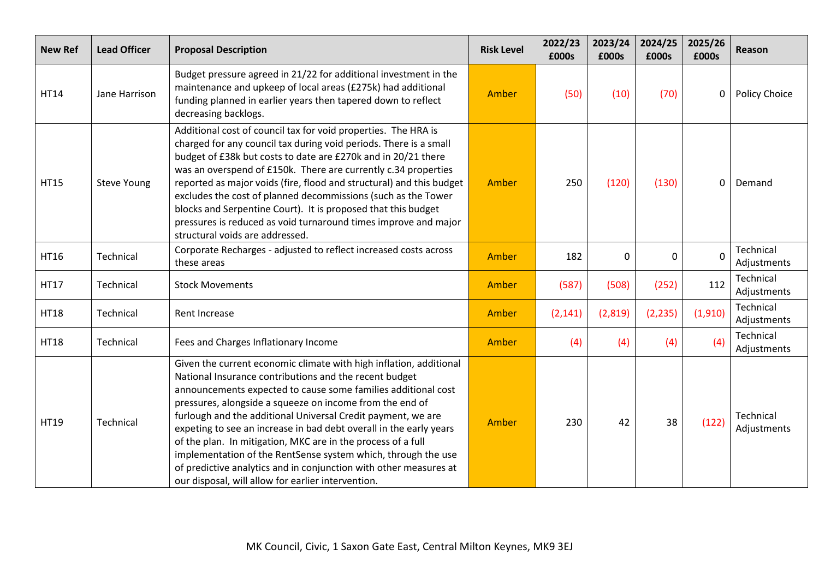| <b>New Ref</b> | <b>Lead Officer</b> | <b>Proposal Description</b>                                                                                                                                                                                                                                                                                                                                                                                                                                                                                                                                                                                                                                 | <b>Risk Level</b> | 2022/23<br>£000s | 2023/24<br>£000s | 2024/25<br>£000s | 2025/26<br>£000s | Reason                   |
|----------------|---------------------|-------------------------------------------------------------------------------------------------------------------------------------------------------------------------------------------------------------------------------------------------------------------------------------------------------------------------------------------------------------------------------------------------------------------------------------------------------------------------------------------------------------------------------------------------------------------------------------------------------------------------------------------------------------|-------------------|------------------|------------------|------------------|------------------|--------------------------|
| <b>HT14</b>    | Jane Harrison       | Budget pressure agreed in 21/22 for additional investment in the<br>maintenance and upkeep of local areas (£275k) had additional<br>funding planned in earlier years then tapered down to reflect<br>decreasing backlogs.                                                                                                                                                                                                                                                                                                                                                                                                                                   | Amber             | (50)             | (10)             | (70)             | 0                | Policy Choice            |
| <b>HT15</b>    | Steve Young         | Additional cost of council tax for void properties. The HRA is<br>charged for any council tax during void periods. There is a small<br>budget of £38k but costs to date are £270k and in 20/21 there<br>was an overspend of £150k. There are currently c.34 properties<br>reported as major voids (fire, flood and structural) and this budget<br>excludes the cost of planned decommissions (such as the Tower<br>blocks and Serpentine Court). It is proposed that this budget<br>pressures is reduced as void turnaround times improve and major<br>structural voids are addressed.                                                                      | Amber             | 250              | (120)            | (130)            | 0                | Demand                   |
| <b>HT16</b>    | Technical           | Corporate Recharges - adjusted to reflect increased costs across<br>these areas                                                                                                                                                                                                                                                                                                                                                                                                                                                                                                                                                                             | Amber             | 182              | $\mathbf{0}$     | 0                | $\Omega$         | Technical<br>Adjustments |
| HT17           | Technical           | <b>Stock Movements</b>                                                                                                                                                                                                                                                                                                                                                                                                                                                                                                                                                                                                                                      | Amber             | (587)            | (508)            | (252)            | 112              | Technical<br>Adjustments |
| <b>HT18</b>    | Technical           | Rent Increase                                                                                                                                                                                                                                                                                                                                                                                                                                                                                                                                                                                                                                               | Amber             | (2, 141)         | (2,819)          | (2, 235)         | (1,910)          | Technical<br>Adjustments |
| <b>HT18</b>    | Technical           | Fees and Charges Inflationary Income                                                                                                                                                                                                                                                                                                                                                                                                                                                                                                                                                                                                                        | Amber             | (4)              | (4)              | (4)              | (4)              | Technical<br>Adjustments |
| HT19           | Technical           | Given the current economic climate with high inflation, additional<br>National Insurance contributions and the recent budget<br>announcements expected to cause some families additional cost<br>pressures, alongside a squeeze on income from the end of<br>furlough and the additional Universal Credit payment, we are<br>expeting to see an increase in bad debt overall in the early years<br>of the plan. In mitigation, MKC are in the process of a full<br>implementation of the RentSense system which, through the use<br>of predictive analytics and in conjunction with other measures at<br>our disposal, will allow for earlier intervention. | Amber             | 230              | 42               | 38               | (122)            | Technical<br>Adjustments |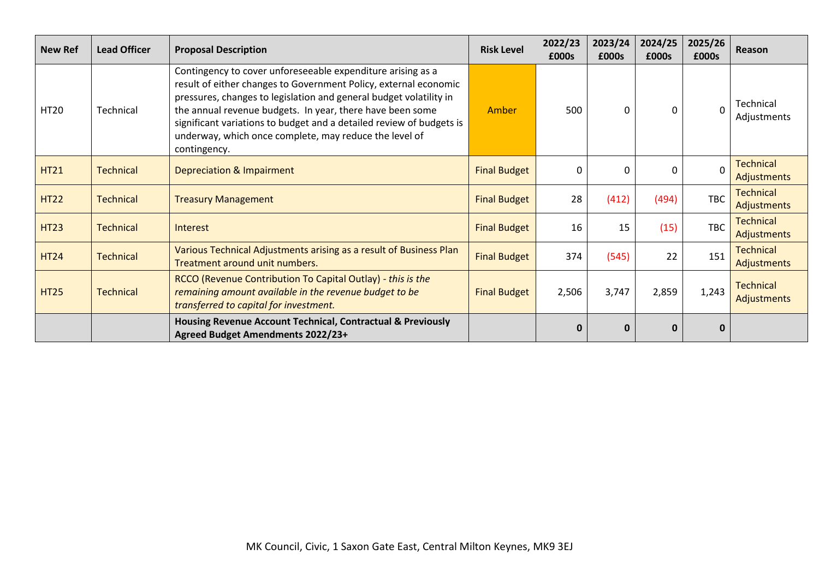| <b>New Ref</b> | <b>Lead Officer</b> | <b>Proposal Description</b>                                                                                                                                                                                                                                                                                                                                                                                          | <b>Risk Level</b>   | 2022/23<br>£000s | 2023/24<br>£000s | 2024/25<br>£000s | 2025/26<br>£000s | <b>Reason</b>                          |
|----------------|---------------------|----------------------------------------------------------------------------------------------------------------------------------------------------------------------------------------------------------------------------------------------------------------------------------------------------------------------------------------------------------------------------------------------------------------------|---------------------|------------------|------------------|------------------|------------------|----------------------------------------|
| <b>HT20</b>    | Technical           | Contingency to cover unforeseeable expenditure arising as a<br>result of either changes to Government Policy, external economic<br>pressures, changes to legislation and general budget volatility in<br>the annual revenue budgets. In year, there have been some<br>significant variations to budget and a detailed review of budgets is<br>underway, which once complete, may reduce the level of<br>contingency. | Amber               | 500              | 0                | $\Omega$         | $\Omega$         | Technical<br>Adjustments               |
| <b>HT21</b>    | <b>Technical</b>    | Depreciation & Impairment                                                                                                                                                                                                                                                                                                                                                                                            | <b>Final Budget</b> | 0                | $\Omega$         | $\Omega$         | $\Omega$         | <b>Technical</b><br><b>Adjustments</b> |
| <b>HT22</b>    | <b>Technical</b>    | <b>Treasury Management</b>                                                                                                                                                                                                                                                                                                                                                                                           | <b>Final Budget</b> | 28               | (412)            | (494)            | <b>TBC</b>       | <b>Technical</b><br>Adjustments        |
| <b>HT23</b>    | <b>Technical</b>    | Interest                                                                                                                                                                                                                                                                                                                                                                                                             | <b>Final Budget</b> | 16               | 15               | (15)             | <b>TBC</b>       | <b>Technical</b><br>Adjustments        |
| <b>HT24</b>    | <b>Technical</b>    | Various Technical Adjustments arising as a result of Business Plan<br>Treatment around unit numbers.                                                                                                                                                                                                                                                                                                                 | <b>Final Budget</b> | 374              | (545)            | 22               | 151              | <b>Technical</b><br>Adjustments        |
| <b>HT25</b>    | <b>Technical</b>    | RCCO (Revenue Contribution To Capital Outlay) - this is the<br>remaining amount available in the revenue budget to be<br>transferred to capital for investment.                                                                                                                                                                                                                                                      | <b>Final Budget</b> | 2,506            | 3,747            | 2,859            | 1,243            | <b>Technical</b><br><b>Adjustments</b> |
|                |                     | Housing Revenue Account Technical, Contractual & Previously<br>Agreed Budget Amendments 2022/23+                                                                                                                                                                                                                                                                                                                     |                     | $\bf{0}$         | 0                | 0                | 0                |                                        |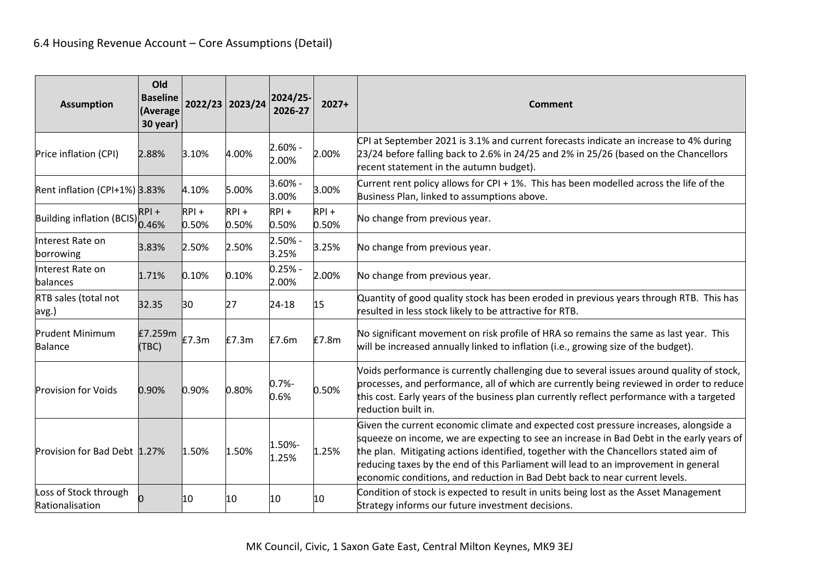| <b>Assumption</b>                        | Old<br><b>Baseline</b><br>(Average<br>30 year) |                  | 2022/23 2023/24  | 2024/25-<br>2026-27 | $2027+$          | <b>Comment</b>                                                                                                                                                                                                                                                                                                                                                                                                                                 |
|------------------------------------------|------------------------------------------------|------------------|------------------|---------------------|------------------|------------------------------------------------------------------------------------------------------------------------------------------------------------------------------------------------------------------------------------------------------------------------------------------------------------------------------------------------------------------------------------------------------------------------------------------------|
| Price inflation (CPI)                    | 2.88%                                          | 3.10%            | 4.00%            | $2.60% -$<br>2.00%  | 2.00%            | CPI at September 2021 is 3.1% and current forecasts indicate an increase to 4% during<br>23/24 before falling back to 2.6% in 24/25 and 2% in 25/26 (based on the Chancellors<br>recent statement in the autumn budget).                                                                                                                                                                                                                       |
| Rent inflation (CPI+1%) 3.83%            |                                                | 4.10%            | 5.00%            | $3.60% -$<br>3.00%  | 3.00%            | Current rent policy allows for CPI + 1%. This has been modelled across the life of the<br>Business Plan, linked to assumptions above.                                                                                                                                                                                                                                                                                                          |
| Building inflation (BCIS) 0.46%          | $RPI +$                                        | $RPI +$<br>0.50% | $RPI +$<br>0.50% | $RPI +$<br>0.50%    | $RPI +$<br>0.50% | No change from previous year.                                                                                                                                                                                                                                                                                                                                                                                                                  |
| Interest Rate on<br>borrowing            | 3.83%                                          | 2.50%            | 2.50%            | $2.50% -$<br>3.25%  | 3.25%            | No change from previous year.                                                                                                                                                                                                                                                                                                                                                                                                                  |
| Interest Rate on<br>balances             | 1.71%                                          | 0.10%            | 0.10%            | $0.25% -$<br>2.00%  | 2.00%            | No change from previous year.                                                                                                                                                                                                                                                                                                                                                                                                                  |
| RTB sales (total not<br>avg.)            | 32.35                                          | 30               | 27               | 24-18               | 15               | Quantity of good quality stock has been eroded in previous years through RTB. This has<br>resulted in less stock likely to be attractive for RTB.                                                                                                                                                                                                                                                                                              |
| <b>Prudent Minimum</b><br>Balance        | £7.259m<br>(TBC)                               | £7.3m            | E7.3m            | £7.6m               | £7.8m            | No significant movement on risk profile of HRA so remains the same as last year. This<br>will be increased annually linked to inflation (i.e., growing size of the budget).                                                                                                                                                                                                                                                                    |
| <b>Provision for Voids</b>               | 0.90%                                          | 0.90%            | 0.80%            | $0.7% -$<br>0.6%    | 0.50%            | Voids performance is currently challenging due to several issues around quality of stock,<br>processes, and performance, all of which are currently being reviewed in order to reduce<br>this cost. Early years of the business plan currently reflect performance with a targeted<br>reduction built in.                                                                                                                                      |
| Provision for Bad Debt 1.27%             |                                                | 1.50%            | 1.50%            | 1.50%-<br>1.25%     | 1.25%            | Given the current economic climate and expected cost pressure increases, alongside a<br>squeeze on income, we are expecting to see an increase in Bad Debt in the early years of<br>the plan. Mitigating actions identified, together with the Chancellors stated aim of<br>reducing taxes by the end of this Parliament will lead to an improvement in general<br>economic conditions, and reduction in Bad Debt back to near current levels. |
| Loss of Stock through<br>Rationalisation |                                                | l10              | 10               | 10                  | 10               | Condition of stock is expected to result in units being lost as the Asset Management<br>Strategy informs our future investment decisions.                                                                                                                                                                                                                                                                                                      |